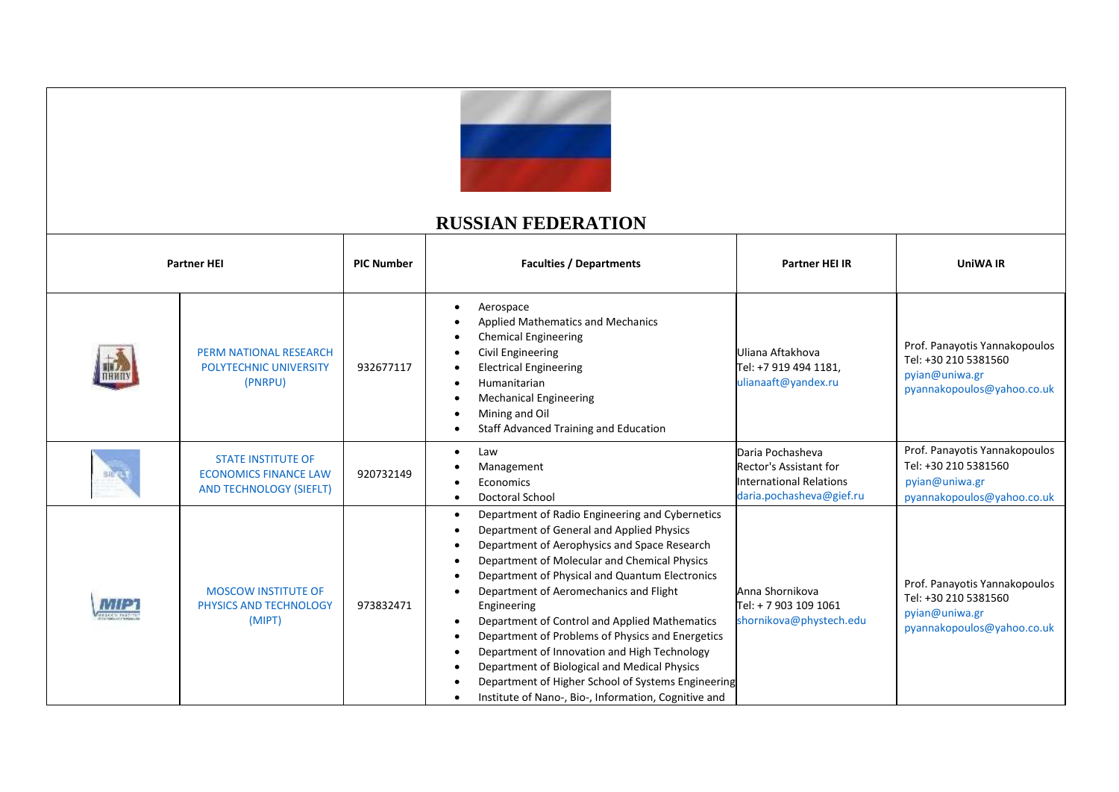

## **RUSSIAN FEDERATION**

| <b>Partner HEI</b> |     | <b>PIC Number</b>                                                                           | <b>Faculties / Departments</b> | Partner HEI IR                                                                                                                                                                                                                                                                                                                                                                                                                                                                                                                                                                                                                          | <b>UniWA IR</b>                                                                                          |                                                                                                       |
|--------------------|-----|---------------------------------------------------------------------------------------------|--------------------------------|-----------------------------------------------------------------------------------------------------------------------------------------------------------------------------------------------------------------------------------------------------------------------------------------------------------------------------------------------------------------------------------------------------------------------------------------------------------------------------------------------------------------------------------------------------------------------------------------------------------------------------------------|----------------------------------------------------------------------------------------------------------|-------------------------------------------------------------------------------------------------------|
|                    |     | <b>PERM NATIONAL RESEARCH</b><br><b>POLYTECHNIC UNIVERSITY</b><br>(PNRPU)                   | 932677117                      | Aerospace<br><b>Applied Mathematics and Mechanics</b><br><b>Chemical Engineering</b><br>Civil Engineering<br><b>Electrical Engineering</b><br>Humanitarian<br><b>Mechanical Engineering</b><br>Mining and Oil<br><b>Staff Advanced Training and Education</b>                                                                                                                                                                                                                                                                                                                                                                           | Uliana Aftakhova<br>Tel: +7 919 494 1181,<br>ulianaaft@yandex.ru                                         | Prof. Panayotis Yannakopoulos<br>Tel: +30 210 5381560<br>pyian@uniwa.gr<br>pyannakopoulos@yahoo.co.uk |
|                    |     | <b>STATE INSTITUTE OF</b><br><b>ECONOMICS FINANCE LAW</b><br><b>AND TECHNOLOGY (SIEFLT)</b> | 920732149                      | Law<br>Management<br>Economics<br><b>Doctoral School</b>                                                                                                                                                                                                                                                                                                                                                                                                                                                                                                                                                                                | Daria Pochasheva<br>Rector's Assistant for<br><b>International Relations</b><br>daria.pochasheva@gief.ru | Prof. Panayotis Yannakopoulos<br>Tel: +30 210 5381560<br>pyian@uniwa.gr<br>pyannakopoulos@yahoo.co.uk |
|                    | MIE | <b>MOSCOW INSTITUTE OF</b><br>PHYSICS AND TECHNOLOGY<br>(MIPT)                              | 973832471                      | Department of Radio Engineering and Cybernetics<br>$\bullet$<br>Department of General and Applied Physics<br>Department of Aerophysics and Space Research<br>Department of Molecular and Chemical Physics<br>Department of Physical and Quantum Electronics<br>Department of Aeromechanics and Flight<br>Engineering<br>Department of Control and Applied Mathematics<br>Department of Problems of Physics and Energetics<br>Department of Innovation and High Technology<br>Department of Biological and Medical Physics<br>Department of Higher School of Systems Engineering<br>Institute of Nano-, Bio-, Information, Cognitive and | Anna Shornikova<br>Tel: + 7 903 109 1061<br>shornikova@phystech.edu                                      | Prof. Panayotis Yannakopoulos<br>Tel: +30 210 5381560<br>pyian@uniwa.gr<br>pyannakopoulos@yahoo.co.uk |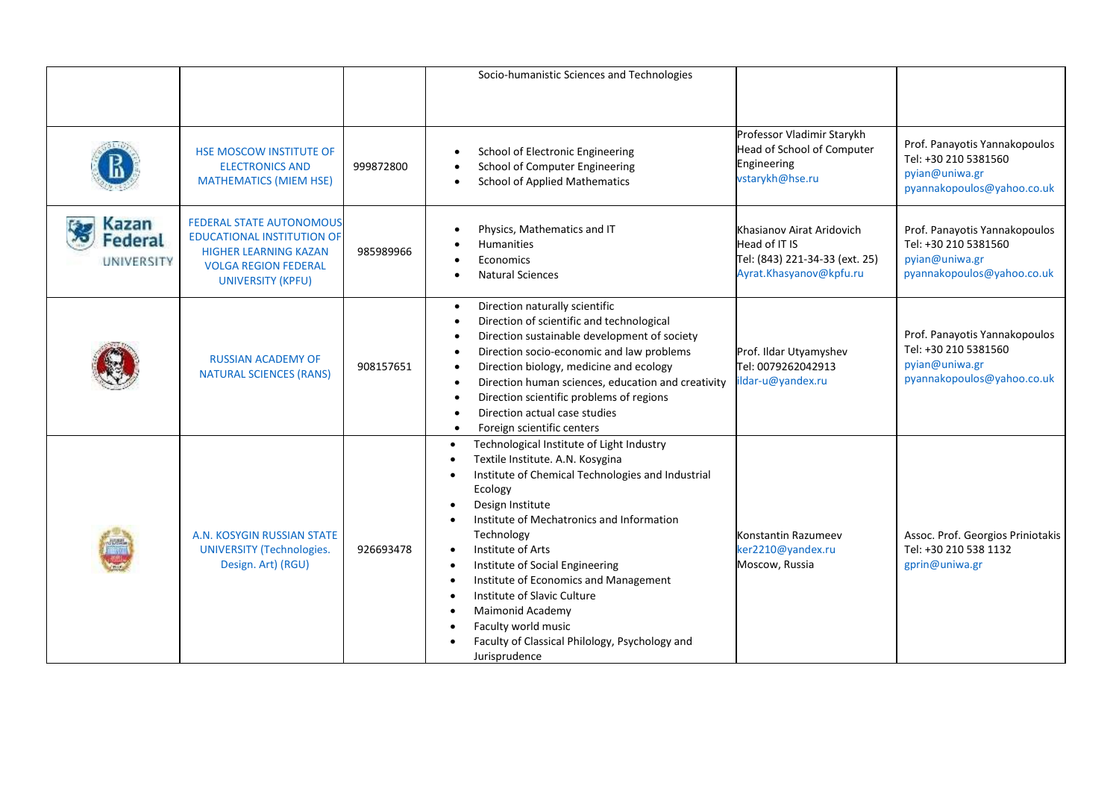|                                       |                                                                                                                                                                 |           | Socio-humanistic Sciences and Technologies                                                                                                                                                                                                                                                                                                                                                                                                                                 |                                                                                                         |                                                                                                       |
|---------------------------------------|-----------------------------------------------------------------------------------------------------------------------------------------------------------------|-----------|----------------------------------------------------------------------------------------------------------------------------------------------------------------------------------------------------------------------------------------------------------------------------------------------------------------------------------------------------------------------------------------------------------------------------------------------------------------------------|---------------------------------------------------------------------------------------------------------|-------------------------------------------------------------------------------------------------------|
|                                       |                                                                                                                                                                 |           |                                                                                                                                                                                                                                                                                                                                                                                                                                                                            |                                                                                                         |                                                                                                       |
|                                       | <b>HSE MOSCOW INSTITUTE OF</b><br><b>ELECTRONICS AND</b><br><b>MATHEMATICS (MIEM HSE)</b>                                                                       | 999872800 | School of Electronic Engineering<br>School of Computer Engineering<br><b>School of Applied Mathematics</b>                                                                                                                                                                                                                                                                                                                                                                 | Professor Vladimir Starykh<br>Head of School of Computer<br>Engineering<br>vstarykh@hse.ru              | Prof. Panayotis Yannakopoulos<br>Tel: +30 210 5381560<br>pyian@uniwa.gr<br>pyannakopoulos@yahoo.co.uk |
| Kazan<br><b>Federal</b><br>UNIVERSITY | <b>FEDERAL STATE AUTONOMOUS</b><br><b>EDUCATIONAL INSTITUTION OF</b><br><b>HIGHER LEARNING KAZAN</b><br><b>VOLGA REGION FEDERAL</b><br><b>UNIVERSITY (KPFU)</b> | 985989966 | Physics, Mathematics and IT<br><b>Humanities</b><br>Economics<br><b>Natural Sciences</b>                                                                                                                                                                                                                                                                                                                                                                                   | Khasianov Airat Aridovich<br>Head of IT IS<br>Tel: (843) 221-34-33 (ext. 25)<br>Ayrat.Khasyanov@kpfu.ru | Prof. Panayotis Yannakopoulos<br>Tel: +30 210 5381560<br>pyian@uniwa.gr<br>pyannakopoulos@yahoo.co.uk |
|                                       | <b>RUSSIAN ACADEMY OF</b><br><b>NATURAL SCIENCES (RANS)</b>                                                                                                     | 908157651 | Direction naturally scientific<br>$\bullet$<br>Direction of scientific and technological<br>Direction sustainable development of society<br>Direction socio-economic and law problems<br>Direction biology, medicine and ecology<br>Direction human sciences, education and creativity<br>Direction scientific problems of regions<br>Direction actual case studies<br>Foreign scientific centers<br>$\bullet$                                                             | Prof. Ildar Utyamyshev<br>Tel: 0079262042913<br>ildar-u@yandex.ru                                       | Prof. Panayotis Yannakopoulos<br>Tel: +30 210 5381560<br>pyian@uniwa.gr<br>pyannakopoulos@yahoo.co.uk |
|                                       | A.N. KOSYGIN RUSSIAN STATE<br><b>UNIVERSITY (Technologies.</b><br>Design. Art) (RGU)                                                                            | 926693478 | Technological Institute of Light Industry<br>Textile Institute. A.N. Kosygina<br>Institute of Chemical Technologies and Industrial<br>Ecology<br>Design Institute<br>Institute of Mechatronics and Information<br>Technology<br>Institute of Arts<br>Institute of Social Engineering<br>Institute of Economics and Management<br>Institute of Slavic Culture<br>Maimonid Academy<br>Faculty world music<br>Faculty of Classical Philology, Psychology and<br>Jurisprudence | Konstantin Razumeev<br>ker2210@yandex.ru<br>Moscow, Russia                                              | Assoc. Prof. Georgios Priniotakis<br>Tel: +30 210 538 1132<br>gprin@uniwa.gr                          |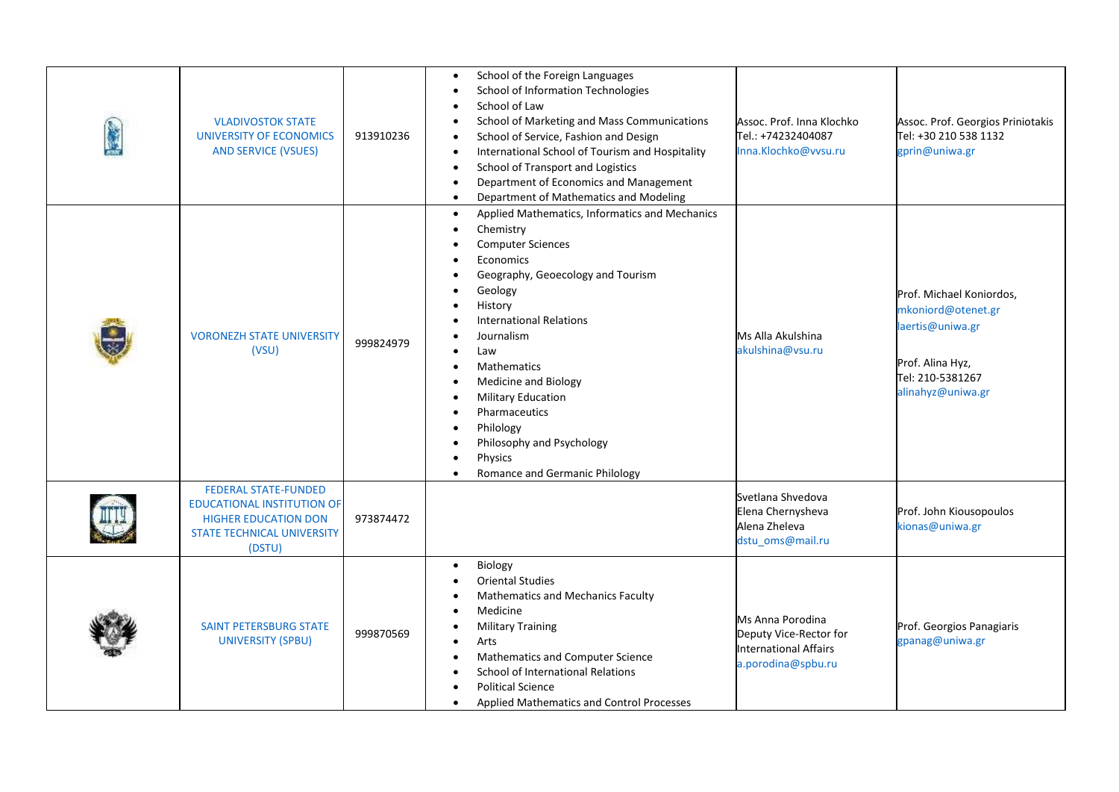| <b>VLADIVOSTOK STATE</b><br><b>UNIVERSITY OF ECONOMICS</b><br><b>AND SERVICE (VSUES)</b>                                                       | 913910236 | School of the Foreign Languages<br><b>School of Information Technologies</b><br>School of Law<br>School of Marketing and Mass Communications<br>School of Service, Fashion and Design<br>International School of Tourism and Hospitality<br>School of Transport and Logistics<br>Department of Economics and Management<br>$\bullet$<br>Department of Mathematics and Modeling<br>$\bullet$                                         | Assoc. Prof. Inna Klochko<br>Tel.: +74232404087<br>Inna.Klochko@vvsu.ru                          | Assoc. Prof. Georgios Priniotakis<br>Tel: +30 210 538 1132<br>gprin@uniwa.gr                                                    |
|------------------------------------------------------------------------------------------------------------------------------------------------|-----------|-------------------------------------------------------------------------------------------------------------------------------------------------------------------------------------------------------------------------------------------------------------------------------------------------------------------------------------------------------------------------------------------------------------------------------------|--------------------------------------------------------------------------------------------------|---------------------------------------------------------------------------------------------------------------------------------|
| <b>VORONEZH STATE UNIVERSITY</b><br>(VSU)                                                                                                      | 999824979 | Applied Mathematics, Informatics and Mechanics<br>$\bullet$<br>Chemistry<br><b>Computer Sciences</b><br>Economics<br>Geography, Geoecology and Tourism<br>Geology<br>History<br><b>International Relations</b><br>Journalism<br>Law<br><b>Mathematics</b><br>Medicine and Biology<br><b>Military Education</b><br>Pharmaceutics<br>Philology<br>Philosophy and Psychology<br>Physics<br>Romance and Germanic Philology<br>$\bullet$ | Ms Alla Akulshina<br>akulshina@vsu.ru                                                            | Prof. Michael Koniordos,<br>mkoniord@otenet.gr<br>laertis@uniwa.gr<br>Prof. Alina Hyz,<br>Tel: 210-5381267<br>alinahyz@uniwa.gr |
| <b>FEDERAL STATE-FUNDED</b><br><b>EDUCATIONAL INSTITUTION OF</b><br><b>HIGHER EDUCATION DON</b><br><b>STATE TECHNICAL UNIVERSITY</b><br>(DSTU) | 973874472 |                                                                                                                                                                                                                                                                                                                                                                                                                                     | Svetlana Shvedova<br>Elena Chernysheva<br>Alena Zheleva<br>dstu_oms@mail.ru                      | Prof. John Kiousopoulos<br>kionas@uniwa.gr                                                                                      |
| <b>SAINT PETERSBURG STATE</b><br><b>UNIVERSITY (SPBU)</b>                                                                                      | 999870569 | Biology<br><b>Oriental Studies</b><br>Mathematics and Mechanics Faculty<br>Medicine<br><b>Military Training</b><br>Arts<br>Mathematics and Computer Science<br>School of International Relations<br><b>Political Science</b><br>Applied Mathematics and Control Processes<br>$\bullet$                                                                                                                                              | Ms Anna Porodina<br>Deputy Vice-Rector for<br><b>International Affairs</b><br>a.porodina@spbu.ru | Prof. Georgios Panagiaris<br>gpanag@uniwa.gr                                                                                    |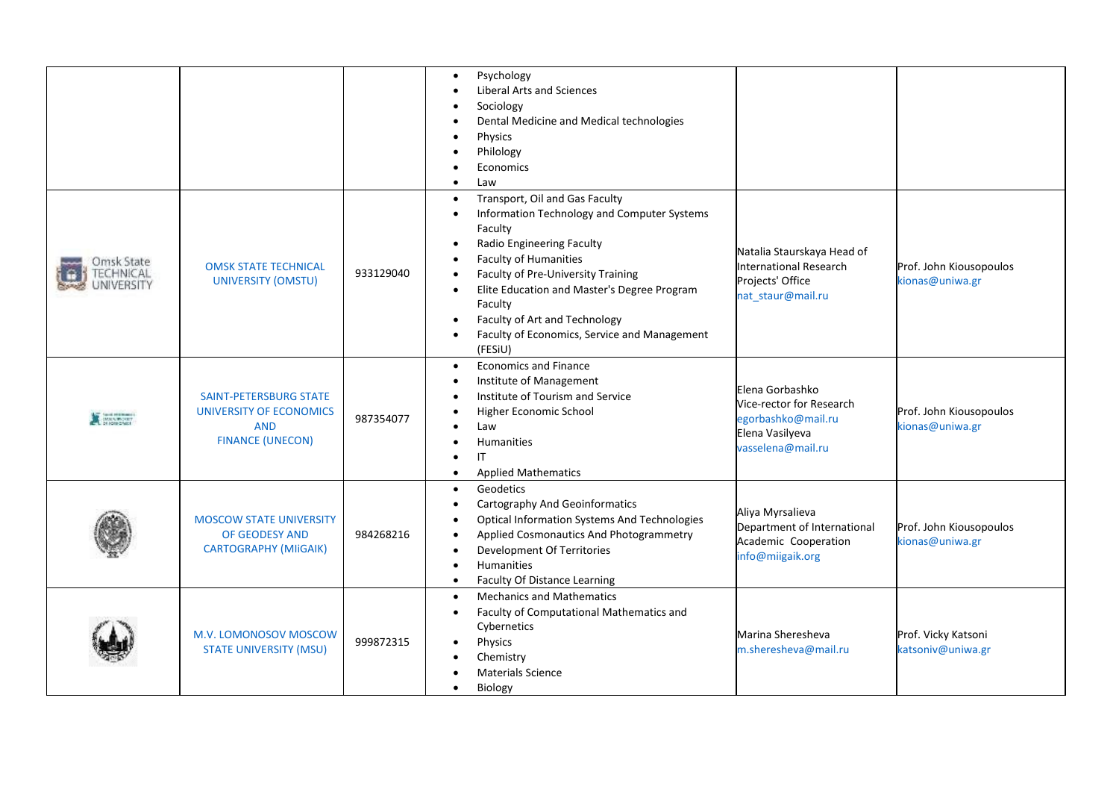|                                                           |                                                                                                   |           | Psychology<br>$\bullet$<br><b>Liberal Arts and Sciences</b><br>Sociology<br>Dental Medicine and Medical technologies<br>Physics<br>Philology<br>Economics<br>Law<br>$\bullet$                                                                                                                                                                                                                 |                                                                                                           |                                            |
|-----------------------------------------------------------|---------------------------------------------------------------------------------------------------|-----------|-----------------------------------------------------------------------------------------------------------------------------------------------------------------------------------------------------------------------------------------------------------------------------------------------------------------------------------------------------------------------------------------------|-----------------------------------------------------------------------------------------------------------|--------------------------------------------|
| Omsk State<br><b><i>ECHNICAL</i></b><br><b>JNIVERSITY</b> | <b>OMSK STATE TECHNICAL</b><br>UNIVERSITY (OMSTU)                                                 | 933129040 | Transport, Oil and Gas Faculty<br>Information Technology and Computer Systems<br>$\bullet$<br>Faculty<br>Radio Engineering Faculty<br>$\bullet$<br><b>Faculty of Humanities</b><br>Faculty of Pre-University Training<br>Elite Education and Master's Degree Program<br>$\bullet$<br>Faculty<br>Faculty of Art and Technology<br>٠<br>Faculty of Economics, Service and Management<br>(FESiU) | Natalia Staurskaya Head of<br><b>International Research</b><br>Projects' Office<br>nat_staur@mail.ru      | Prof. John Kiousopoulos<br>kionas@uniwa.gr |
| <b>X</b> BANKSART                                         | <b>SAINT-PETERSBURG STATE</b><br>UNIVERSITY OF ECONOMICS<br><b>AND</b><br><b>FINANCE (UNECON)</b> | 987354077 | <b>Economics and Finance</b><br>$\bullet$<br>Institute of Management<br>Institute of Tourism and Service<br>Higher Economic School<br>Law<br>Humanities<br><b>IT</b><br><b>Applied Mathematics</b>                                                                                                                                                                                            | Elena Gorbashko<br>Vice-rector for Research<br>egorbashko@mail.ru<br>Elena Vasilyeva<br>vasselena@mail.ru | Prof. John Kiousopoulos<br>kionas@uniwa.gr |
|                                                           | <b>MOSCOW STATE UNIVERSITY</b><br>OF GEODESY AND<br><b>CARTOGRAPHY (MIIGAIK)</b>                  | 984268216 | Geodetics<br>$\bullet$<br>Cartography And Geoinformatics<br><b>Optical Information Systems And Technologies</b><br>Applied Cosmonautics And Photogrammetry<br>$\bullet$<br>Development Of Territories<br>Humanities<br><b>Faculty Of Distance Learning</b><br>$\bullet$                                                                                                                       | Aliya Myrsalieva<br>Department of International<br>Academic Cooperation<br>info@miigaik.org               | Prof. John Kiousopoulos<br>kionas@uniwa.gr |
|                                                           | M.V. LOMONOSOV MOSCOW<br><b>STATE UNIVERSITY (MSU)</b>                                            | 999872315 | <b>Mechanics and Mathematics</b><br>Faculty of Computational Mathematics and<br>$\bullet$<br>Cybernetics<br>Physics<br>Chemistry<br><b>Materials Science</b><br>Biology<br>$\bullet$                                                                                                                                                                                                          | Marina Sheresheva<br>m.sheresheva@mail.ru                                                                 | Prof. Vicky Katsoni<br>katsoniv@uniwa.gr   |